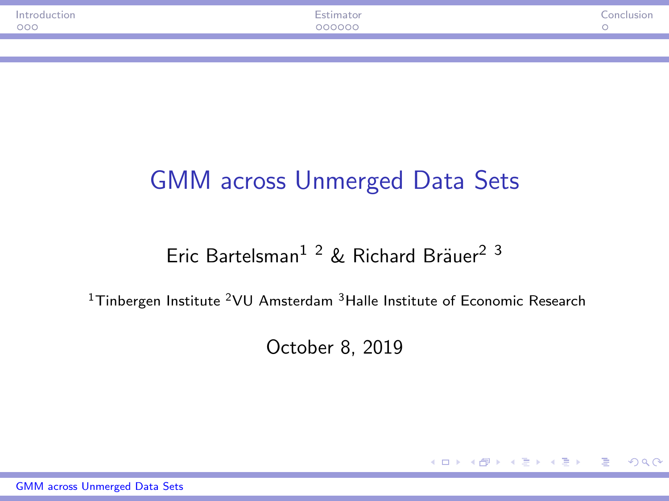<span id="page-0-0"></span>

| oduction <sup>.</sup><br>000 | $ -$<br>000000 | $C$ onch |
|------------------------------|----------------|----------|
|                              |                |          |
|                              |                |          |

# GMM across Unmerged Data Sets

#### Eric Bartelsman<sup>1 2</sup> & Richard Bräuer<sup>2 3</sup>

<sup>1</sup>Tinbergen Institute <sup>2</sup>VU Amsterdam <sup>3</sup>Halle Institute of Economic Research

October 8, 2019

 $\left\{ \begin{array}{ccc} 1 & 0 & 0 \\ 0 & 1 & 0 \end{array} \right.$ 

 $\eta$ an D.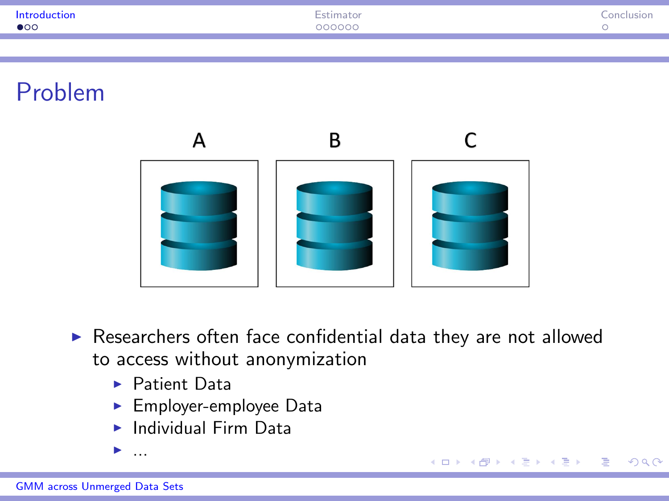<span id="page-1-0"></span>

| Introduction<br>.<br>$\bullet$ 00 | <b>Contract Contract</b><br>COOCOO | $\sim$ |
|-----------------------------------|------------------------------------|--------|
|                                   |                                    |        |
|                                   |                                    |        |

Problem



 $\blacktriangleright$  Researchers often face confidential data they are not allowed to access without anonymization

 $QQ$ 

∢ロト (何) (ヨ) (ヨ)

- $\blacktriangleright$  Patient Data
- $\blacktriangleright$  Employer-employee Data
- $\blacktriangleright$  Individual Firm Data

<sup>I</sup> ...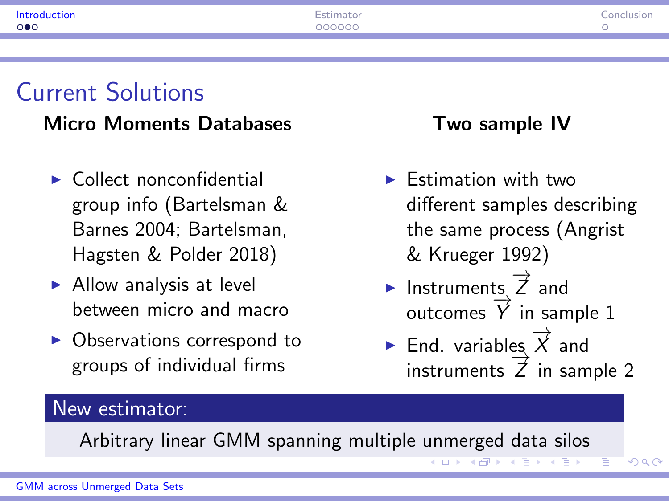| .<br>$\circ \bullet \circ$ | $ -$<br>200000 | nnc |
|----------------------------|----------------|-----|
|                            |                |     |

### Current Solutions

#### Micro Moments Databases

- $\blacktriangleright$  Collect nonconfidential group info (Bartelsman & Barnes 2004; Bartelsman, Hagsten & Polder 2018)
- $\blacktriangleright$  Allow analysis at level between micro and macro
- $\triangleright$  Observations correspond to groups of individual firms

#### Two sample IV

- $\blacktriangleright$  Estimation with two different samples describing the same process (Angrist & Krueger 1992)
- ► Instruments,  $\overrightarrow{Z}$  and  $\frac{1}{\sqrt{2}}$  and outcomes  $\overrightarrow{Y}$  in sample 1
- ► End. variables  $\overrightarrow{X}$  and  $\frac{2}{\sqrt{2}}$  in sample 2

 $QQ$ 

#### New estimator:

Arbitrary linear GMM spanning multiple unmerged data silos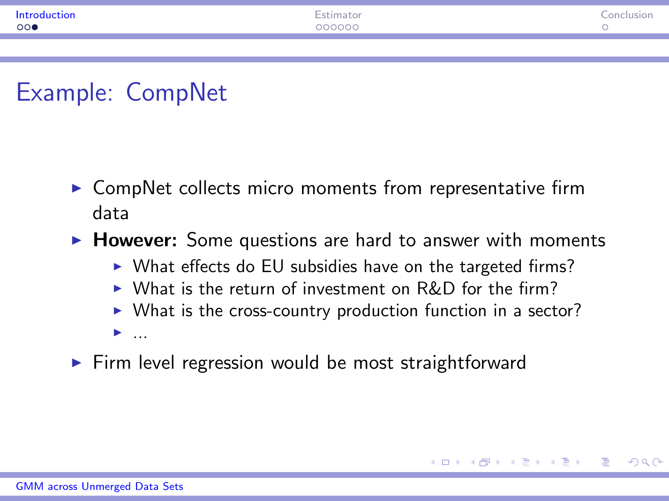<span id="page-3-0"></span>

| .<br>000 | $ -$<br>20000 |  |
|----------|---------------|--|
|          |               |  |

# Example: CompNet

- $\triangleright$  CompNet collects micro moments from representative firm data
- $\triangleright$  However: Some questions are hard to answer with moments
	- $\triangleright$  What effects do EU subsidies have on the targeted firms?
	- $\triangleright$  What is the return of investment on R&D for the firm?
	- $\triangleright$  What is the cross-country production function in a sector?

 $\Omega$ 

- $\blacktriangleright$  ...
- $\triangleright$  Firm level regression would be most straightforward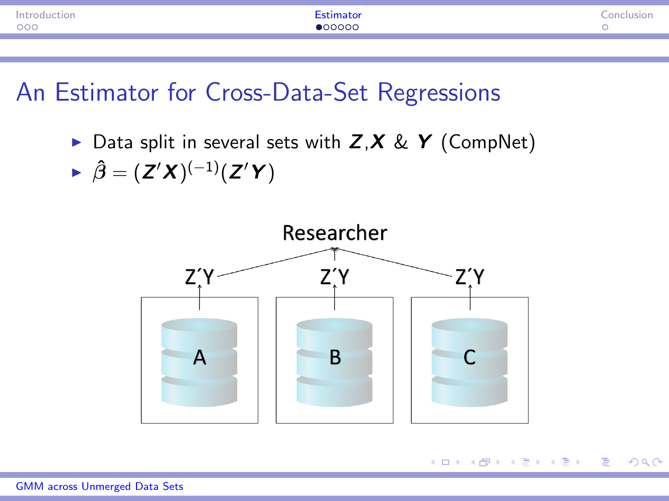<span id="page-4-0"></span>

| roduction<br>000 | 100000 |  |
|------------------|--------|--|
|                  |        |  |

 $\triangleright$  Data split in several sets with  $Z, X \& Y$  (CompNet)

$$
\blacktriangleright \hat{\beta} = (Z'X)^{(-1)}(Z'Y)
$$



同 ▶ ヨ ヨ ▶ ヨ ヨ ▶

 $QQ$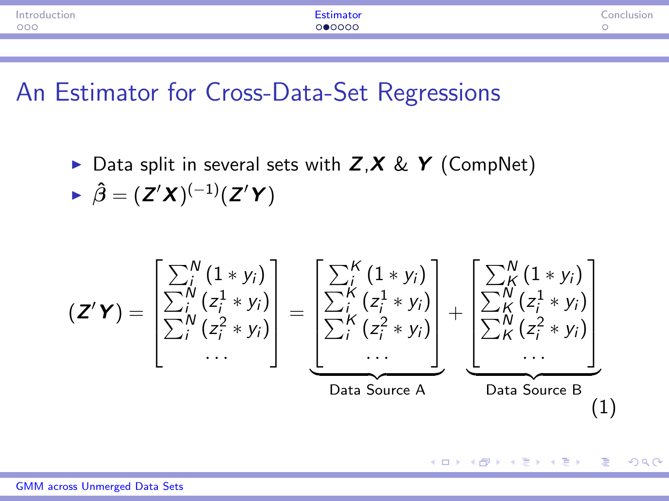| 000<br>ഥറററ<br>x | tion |  |
|------------------|------|--|
|                  |      |  |

 $\triangleright$  Data split in several sets with  $Z, X \& Y$  (CompNet)

$$
\blacktriangleright \hat{\beta} = (Z'X)^{(-1)}(Z'Y)
$$

$$
\left(\mathbf{Z}'\mathbf{Y}\right) = \begin{bmatrix} \sum_{i}^{N} (1 * y_{i}) \\ \sum_{i}^{N} (z_{i}^{1} * y_{i}) \\ \sum_{i}^{N} (z_{i}^{2} * y_{i}) \\ \cdots \end{bmatrix} = \underbrace{\begin{bmatrix} \sum_{i}^{K} (1 * y_{i}) \\ \sum_{i}^{K} (z_{i}^{1} * y_{i}) \\ \sum_{i}^{K} (z_{i}^{2} * y_{i}) \\ \cdots \end{bmatrix}}_{\text{Data Source A}} + \underbrace{\begin{bmatrix} \sum_{i}^{N} (1 * y_{i}) \\ \sum_{i}^{N} (z_{i}^{1} * y_{i}) \\ \sum_{i}^{N} (z_{i}^{2} * y_{i}) \\ \cdots \end{bmatrix}}_{\text{Data Source B}} + \underbrace{\begin{bmatrix} \sum_{i}^{N} (1 * y_{i}) \\ \sum_{i}^{N} (z_{i}^{2} * y_{i}) \\ \cdots \end{bmatrix}}_{\text{Data Source B}} \tag{1}
$$

 $OQ$ 

重

→ イラン イヨン イラン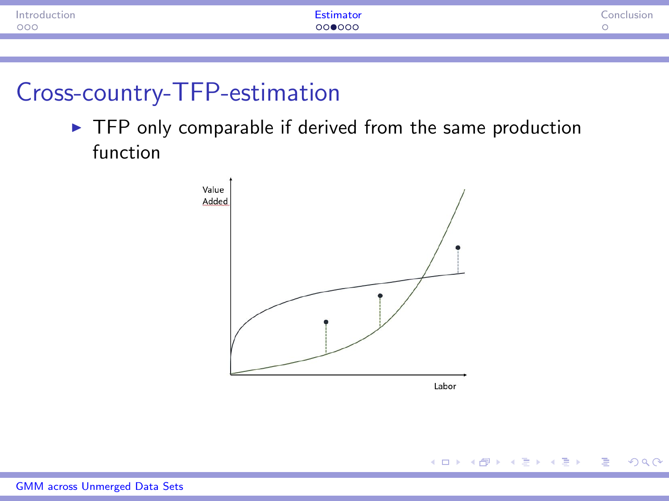<span id="page-6-0"></span>

| troduction<br>000 | 000000 |  |
|-------------------|--------|--|
|                   |        |  |

## Cross-country-TFP-estimation

 $\blacktriangleright$  TFP only comparable if derived from the same production function

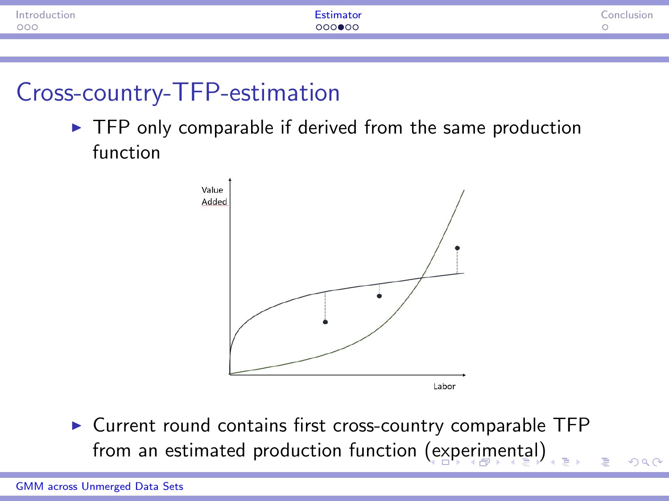<span id="page-7-0"></span>

| Introduction<br>000 | 000●00 |  |
|---------------------|--------|--|
|                     |        |  |

### Cross-country-TFP-estimation

 $\triangleright$  TFP only comparable if derived from the same production function



 $\triangleright$  Current round contains first cross-country comparable TFP from an estimated production function [\(ex](#page-6-0)[pe](#page-8-0)[r](#page-6-0)[im](#page-7-0)[e](#page-8-0)[n](#page-3-0)[t](#page-4-0)[a](#page-9-0)[l\)](#page-10-0) nar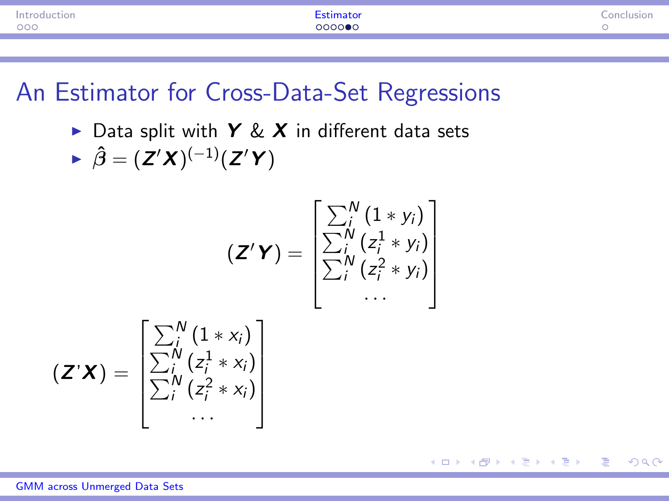<span id="page-8-0"></span>

| troduction |        |  |
|------------|--------|--|
| 000        | COOO#1 |  |

 $\triangleright$  Data split with Y & X in different data sets

$$
\blacktriangleright \hat{\beta} = (Z'X)^{(-1)}(Z'Y)
$$

$$
(\mathbf{Z}'\mathbf{Y}) = \begin{bmatrix} \sum_i^N (1 * y_i) \\ \sum_i^N (z_i^1 * y_i) \\ \sum_i^N (z_i^2 * y_i) \\ \cdots \end{bmatrix}
$$

 $PQQ$ 

重

∢ ロ ▶ ( 何 ) ( ミ ) ( ミ )

$$
\left(\mathbf{Z}^{\prime}\mathbf{X}\right)=\begin{bmatrix} \sum_{i}^{N}\left(1*x_{i}\right) \\ \sum_{i}^{N}\left(z_{i}^{1}*x_{i}\right) \\ \sum_{i}^{N}\left(z_{i}^{2}*x_{i}\right) \\ \cdots \end{bmatrix}
$$

[GMM across Unmerged Data Sets](#page-0-0)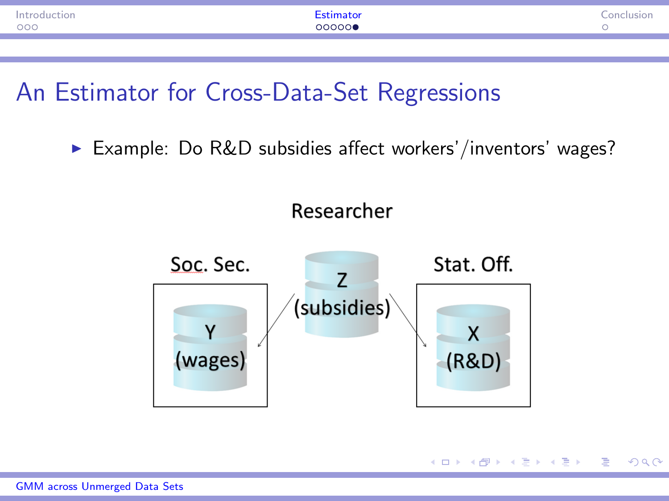<span id="page-9-0"></span>

| .<br>000 | $\sim$ $\sim$ $\sim$ |  |
|----------|----------------------|--|
|          |                      |  |

▶ Example: Do R&D subsidies affect workers'/inventors' wages?



 $209$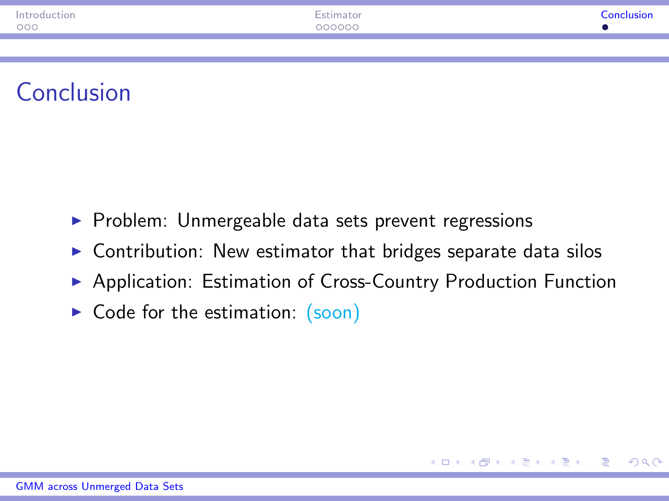<span id="page-10-0"></span>

| Introduction | <b>Contact Contact Contact Contact</b><br>:stimator | Conclusion<br>. |
|--------------|-----------------------------------------------------|-----------------|
| 000          | 000000                                              |                 |
|              |                                                     |                 |

# Conclusion

- $\triangleright$  Problem: Unmergeable data sets prevent regressions
- $\triangleright$  Contribution: New estimator that bridges separate data silos
- ▶ Application: Estimation of Cross-Country Production Function

 $2090$ 

 $\triangleright$  Code for the estimation: [\(soon\)](https://richard-braeuer.de/research/)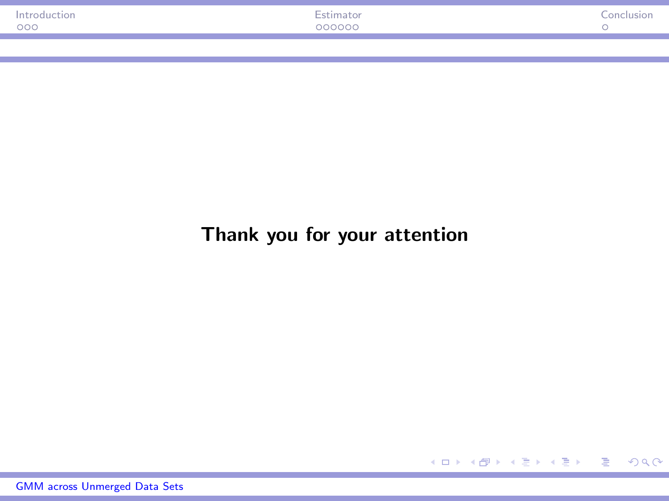<span id="page-11-0"></span>

| $\overline{\phantom{a}}$<br>$\sim$ $\sim$ $\sim$ $\sim$ $\sim$ $\sim$<br>000<br>000000 | $\sim$ |
|----------------------------------------------------------------------------------------|--------|
|                                                                                        |        |

#### Thank you for your attention

[GMM across Unmerged Data Sets](#page-0-0)